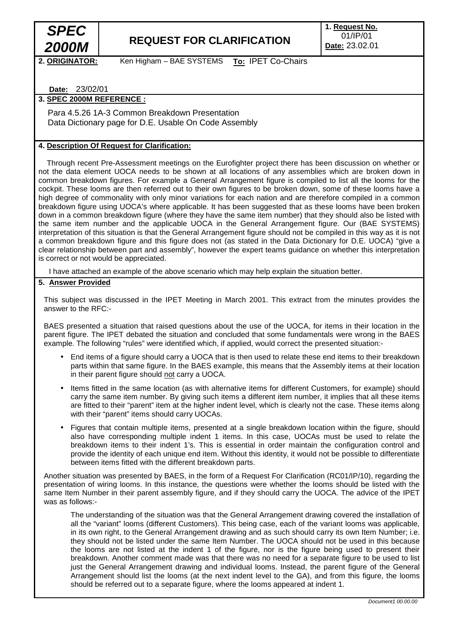

# *2000M* **REQUEST FOR CLARIFICATION**

**1. Request No.**  01/IP/01 **Date:** 23.02.01

2. ORIGINATOR: Ken Higham – BAE SYSTEMS **To:** IPET Co-Chairs

**Date:** 23/02/01

## **3. SPEC 2000M REFERENCE :**

 Para 4.5.26 1A-3 Common Breakdown Presentation Data Dictionary page for D.E. Usable On Code Assembly

#### **4. Description Of Request for Clarification:**

 Through recent Pre-Assessment meetings on the Eurofighter project there has been discussion on whether or not the data element UOCA needs to be shown at all locations of any assemblies which are broken down in common breakdown figures. For example a General Arrangement figure is compiled to list all the looms for the cockpit. These looms are then referred out to their own figures to be broken down, some of these looms have a high degree of commonality with only minor variations for each nation and are therefore compiled in a common breakdown figure using UOCA's where applicable. It has been suggested that as these looms have been broken down in a common breakdown figure (where they have the same item number) that they should also be listed with the same item number and the applicable UOCA in the General Arrangement figure. Our (BAE SYSTEMS) interpretation of this situation is that the General Arrangement figure should not be compiled in this way as it is not a common breakdown figure and this figure does not (as stated in the Data Dictionary for D.E. UOCA) "give a clear relationship between part and assembly", however the expert teams guidance on whether this interpretation is correct or not would be appreciated.

I have attached an example of the above scenario which may help explain the situation better.

#### **5. Answer Provided**

This subject was discussed in the IPET Meeting in March 2001. This extract from the minutes provides the answer to the RFC:-

BAES presented a situation that raised questions about the use of the UOCA, for items in their location in the parent figure. The IPET debated the situation and concluded that some fundamentals were wrong in the BAES example. The following "rules" were identified which, if applied, would correct the presented situation:-

- End items of a figure should carry a UOCA that is then used to relate these end items to their breakdown parts within that same figure. In the BAES example, this means that the Assembly items at their location in their parent figure should not carry a UOCA.
- Items fitted in the same location (as with alternative items for different Customers, for example) should carry the same item number. By giving such items a different item number, it implies that all these items are fitted to their "parent" item at the higher indent level, which is clearly not the case. These items along with their "parent" items should carry UOCAs.
- Figures that contain multiple items, presented at a single breakdown location within the figure, should also have corresponding multiple indent 1 items. In this case, UOCAs must be used to relate the breakdown items to their indent 1's. This is essential in order maintain the configuration control and provide the identity of each unique end item. Without this identity, it would not be possible to differentiate between items fitted with the different breakdown parts.

Another situation was presented by BAES, in the form of a Request For Clarification (RC01/IP/10), regarding the presentation of wiring looms. In this instance, the questions were whether the looms should be listed with the same Item Number in their parent assembly figure, and if they should carry the UOCA. The advice of the IPET was as follows:-

The understanding of the situation was that the General Arrangement drawing covered the installation of all the "variant" looms (different Customers). This being case, each of the variant looms was applicable, in its own right, to the General Arrangement drawing and as such should carry its own Item Number; i.e. they should not be listed under the same Item Number. The UOCA should not be used in this because the looms are not listed at the indent 1 of the figure, nor is the figure being used to present their breakdown. Another comment made was that there was no need for a separate figure to be used to list just the General Arrangement drawing and individual looms. Instead, the parent figure of the General Arrangement should list the looms (at the next indent level to the GA), and from this figure, the looms should be referred out to a separate figure, where the looms appeared at indent 1.